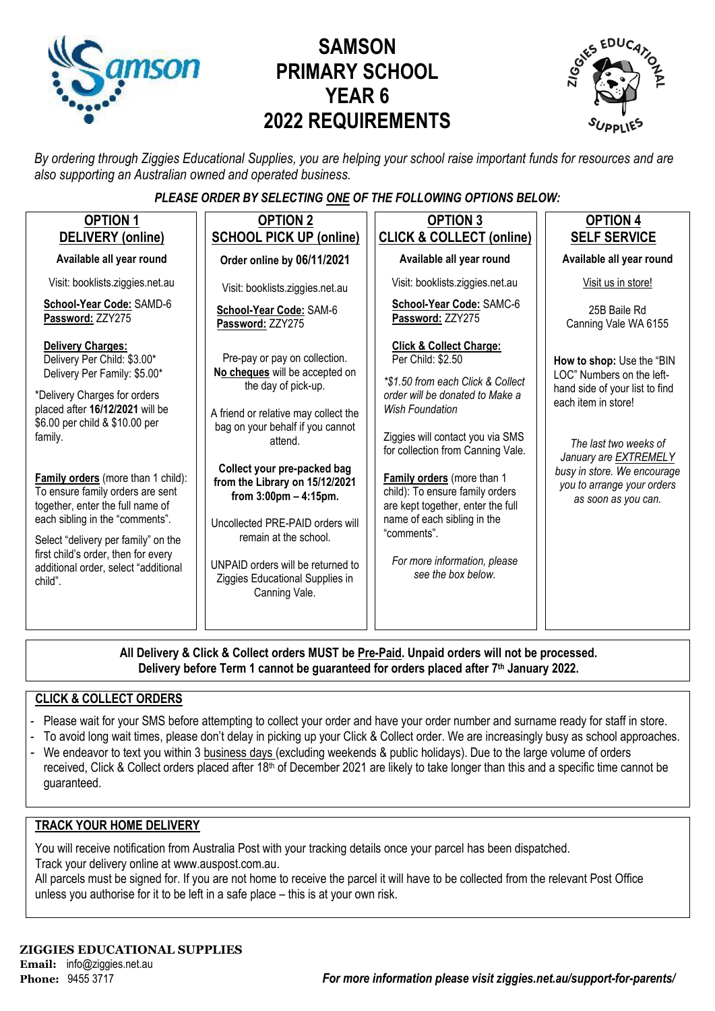

# **SAMSON PRIMARY SCHOOL YEAR 6 2022 REQUIREMENTS**



*By ordering through Ziggies Educational Supplies, you are helping your school raise important funds for resources and are also supporting an Australian owned and operated business.*

#### *PLEASE ORDER BY SELECTING ONE OF THE FOLLOWING OPTIONS BELOW:*

| <b>OPTION 1</b><br>DELIVERY (online)                                                                                                                                                                                                                                                                                                                                                                                                                                                      | <b>OPTION 2</b><br><b>SCHOOL PICK UP (online)</b>                                                                                                                                                                                                                                                                                                                                                                                                | <b>OPTION 3</b><br><b>CLICK &amp; COLLECT (online)</b>                                                                                                                                                                                                                                                                                                                                                                                | <b>OPTION 4</b><br><b>SELF SERVICE</b>                                                                                                                                                                                                                       |
|-------------------------------------------------------------------------------------------------------------------------------------------------------------------------------------------------------------------------------------------------------------------------------------------------------------------------------------------------------------------------------------------------------------------------------------------------------------------------------------------|--------------------------------------------------------------------------------------------------------------------------------------------------------------------------------------------------------------------------------------------------------------------------------------------------------------------------------------------------------------------------------------------------------------------------------------------------|---------------------------------------------------------------------------------------------------------------------------------------------------------------------------------------------------------------------------------------------------------------------------------------------------------------------------------------------------------------------------------------------------------------------------------------|--------------------------------------------------------------------------------------------------------------------------------------------------------------------------------------------------------------------------------------------------------------|
| Available all year round                                                                                                                                                                                                                                                                                                                                                                                                                                                                  | Order online by 06/11/2021                                                                                                                                                                                                                                                                                                                                                                                                                       | Available all year round                                                                                                                                                                                                                                                                                                                                                                                                              | Available all year round                                                                                                                                                                                                                                     |
| Visit: booklists.ziggies.net.au                                                                                                                                                                                                                                                                                                                                                                                                                                                           | Visit: booklists.ziggies.net.au                                                                                                                                                                                                                                                                                                                                                                                                                  | Visit: booklists.ziggies.net.au                                                                                                                                                                                                                                                                                                                                                                                                       | Visit us in store!                                                                                                                                                                                                                                           |
| School-Year Code: SAMD-6<br>Password: ZZY275                                                                                                                                                                                                                                                                                                                                                                                                                                              | School-Year Code: SAM-6<br>Password: ZZY275                                                                                                                                                                                                                                                                                                                                                                                                      | School-Year Code: SAMC-6<br>Password: ZZY275                                                                                                                                                                                                                                                                                                                                                                                          | 25B Baile Rd<br>Canning Vale WA 6155                                                                                                                                                                                                                         |
| <b>Delivery Charges:</b><br>Delivery Per Child: \$3.00*<br>Delivery Per Family: \$5.00*<br>*Delivery Charges for orders<br>placed after 16/12/2021 will be<br>\$6.00 per child & \$10.00 per<br>family.<br>Family orders (more than 1 child):<br>To ensure family orders are sent<br>together, enter the full name of<br>each sibling in the "comments".<br>Select "delivery per family" on the<br>first child's order, then for every<br>additional order, select "additional<br>child". | Pre-pay or pay on collection.<br>No cheques will be accepted on<br>the day of pick-up.<br>A friend or relative may collect the<br>bag on your behalf if you cannot<br>attend.<br>Collect your pre-packed bag<br>from the Library on 15/12/2021<br>from $3:00 \text{pm} - 4:15 \text{pm}$ .<br>Uncollected PRE-PAID orders will<br>remain at the school.<br>UNPAID orders will be returned to<br>Ziggies Educational Supplies in<br>Canning Vale. | <b>Click &amp; Collect Charge:</b><br>Per Child: \$2.50<br>*\$1.50 from each Click & Collect<br>order will be donated to Make a<br>Wish Foundation<br>Ziggies will contact you via SMS<br>for collection from Canning Vale.<br>Family orders (more than 1<br>child): To ensure family orders<br>are kept together, enter the full<br>name of each sibling in the<br>"comments".<br>For more information, please<br>see the box below. | How to shop: Use the "BIN<br>LOC" Numbers on the left-<br>hand side of your list to find<br>each item in store!<br>The last two weeks of<br>January are <b>EXTREMELY</b><br>busy in store. We encourage<br>you to arrange your orders<br>as soon as you can. |

**All Delivery & Click & Collect orders MUST be Pre-Paid. Unpaid orders will not be processed. Delivery before Term 1 cannot be guaranteed for orders placed after 7th January 2022.**

#### **CLICK & COLLECT ORDERS**

- Please wait for your SMS before attempting to collect your order and have your order number and surname ready for staff in store.
- To avoid long wait times, please don't delay in picking up your Click & Collect order. We are increasingly busy as school approaches.
- We endeavor to text you within 3 business days (excluding weekends & public holidays). Due to the large volume of orders received, Click & Collect orders placed after 18<sup>th</sup> of December 2021 are likely to take longer than this and a specific time cannot be guaranteed.

#### **TRACK YOUR HOME DELIVERY**

You will receive notification from Australia Post with your tracking details once your parcel has been dispatched. Track your delivery online a[t www.auspost.com.au.](http://www.auspost.com.au/)

All parcels must be signed for. If you are not home to receive the parcel it will have to be collected from the relevant Post Office unless you authorise for it to be left in a safe place – this is at your own risk.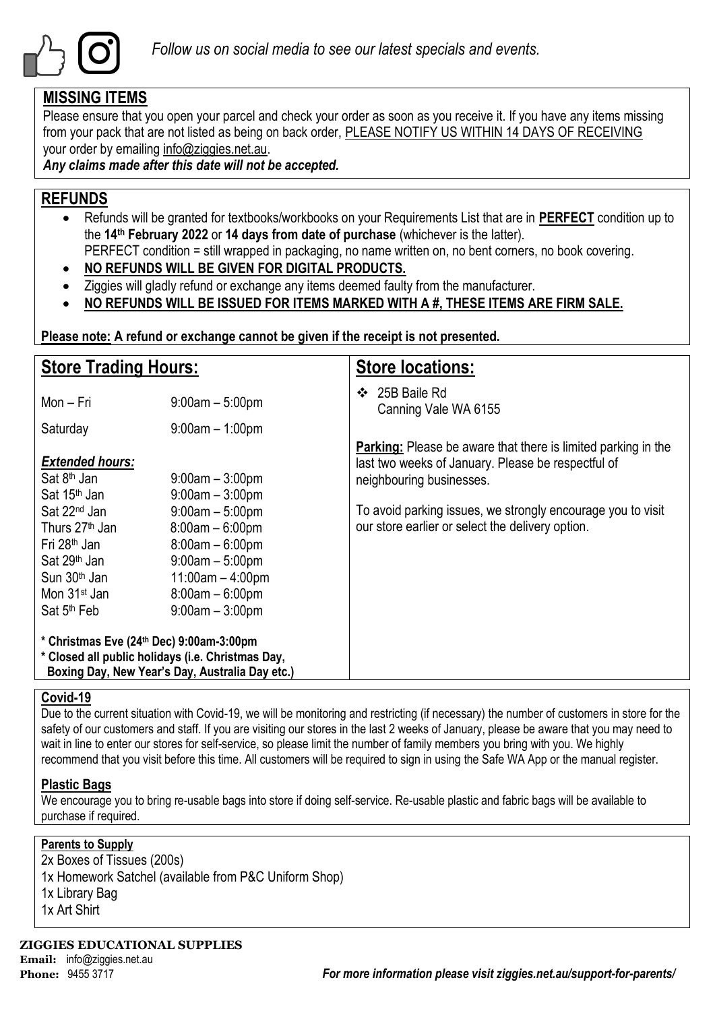

## **MISSING ITEMS**

Please ensure that you open your parcel and check your order as soon as you receive it. If you have any items missing from your pack that are not listed as being on back order, PLEASE NOTIFY US WITHIN 14 DAYS OF RECEIVING your order by emailing info@ziggies.net.au.

*Any claims made after this date will not be accepted.*

# **REFUNDS**

- Refunds will be granted for textbooks/workbooks on your Requirements List that are in **PERFECT** condition up to the **14th February 2022** or **14 days from date of purchase** (whichever is the latter). PERFECT condition = still wrapped in packaging, no name written on, no bent corners, no book covering.
- **NO REFUNDS WILL BE GIVEN FOR DIGITAL PRODUCTS.**
- Ziggies will gladly refund or exchange any items deemed faulty from the manufacturer.
- **NO REFUNDS WILL BE ISSUED FOR ITEMS MARKED WITH A #, THESE ITEMS ARE FIRM SALE.**

**Please note: A refund or exchange cannot be given if the receipt is not presented.**

| <b>Store Trading Hours:</b>                                                                                                                                                                                                                                                     |                      | <b>Store locations:</b>                                                                                                                                                                                                                                                   |  |  |  |  |
|---------------------------------------------------------------------------------------------------------------------------------------------------------------------------------------------------------------------------------------------------------------------------------|----------------------|---------------------------------------------------------------------------------------------------------------------------------------------------------------------------------------------------------------------------------------------------------------------------|--|--|--|--|
| Mon – Fri                                                                                                                                                                                                                                                                       | $9:00am - 5:00pm$    | 25B Baile Rd<br>$\bullet$<br>Canning Vale WA 6155                                                                                                                                                                                                                         |  |  |  |  |
| Saturday                                                                                                                                                                                                                                                                        | $9:00$ am $-1:00$ pm |                                                                                                                                                                                                                                                                           |  |  |  |  |
| <b>Extended hours:</b><br>Sat 8 <sup>th</sup> Jan<br>$9:00$ am $-3:00$ pm<br>Sat 15 <sup>th</sup> Jan<br>$9:00am - 3:00pm$<br>Sat 22 <sup>nd</sup> Jan<br>$9:00am - 5:00pm$<br>Thurs 27 <sup>th</sup> Jan<br>$8:00am - 6:00pm$<br>Fri 28 <sup>th</sup> Jan<br>$8:00am - 6:00pm$ |                      | <b>Parking:</b> Please be aware that there is limited parking in the<br>last two weeks of January. Please be respectful of<br>neighbouring businesses.<br>To avoid parking issues, we strongly encourage you to visit<br>our store earlier or select the delivery option. |  |  |  |  |
| Sat 29 <sup>th</sup> Jan<br>$9:00am - 5:00pm$<br>Sun 30 <sup>th</sup> Jan<br>$11:00am - 4:00pm$<br>$8:00am - 6:00pm$<br>Mon 31 <sup>st</sup> Jan<br>$9:00am - 3:00pm$<br>Sat 5 <sup>th</sup> Feb                                                                                |                      |                                                                                                                                                                                                                                                                           |  |  |  |  |
| * Christmas Eve (24th Dec) 9:00am-3:00pm<br>* Closed all public holidays (i.e. Christmas Day,<br>Boxing Day, New Year's Day, Australia Day etc.)                                                                                                                                |                      |                                                                                                                                                                                                                                                                           |  |  |  |  |

#### **Covid-19**

Due to the current situation with Covid-19, we will be monitoring and restricting (if necessary) the number of customers in store for the safety of our customers and staff. If you are visiting our stores in the last 2 weeks of January, please be aware that you may need to wait in line to enter our stores for self-service, so please limit the number of family members you bring with you. We highly recommend that you visit before this time. All customers will be required to sign in using the Safe WA App or the manual register.

### **Plastic Bags**

We encourage you to bring re-usable bags into store if doing self-service. Re-usable plastic and fabric bags will be available to purchase if required.

#### **Parents to Supply**

2x Boxes of Tissues (200s) 1x Homework Satchel (available from P&C Uniform Shop) 1x Library Bag 1x Art Shirt

**ZIGGIES EDUCATIONAL SUPPLIES Email:** info@ziggies.net.au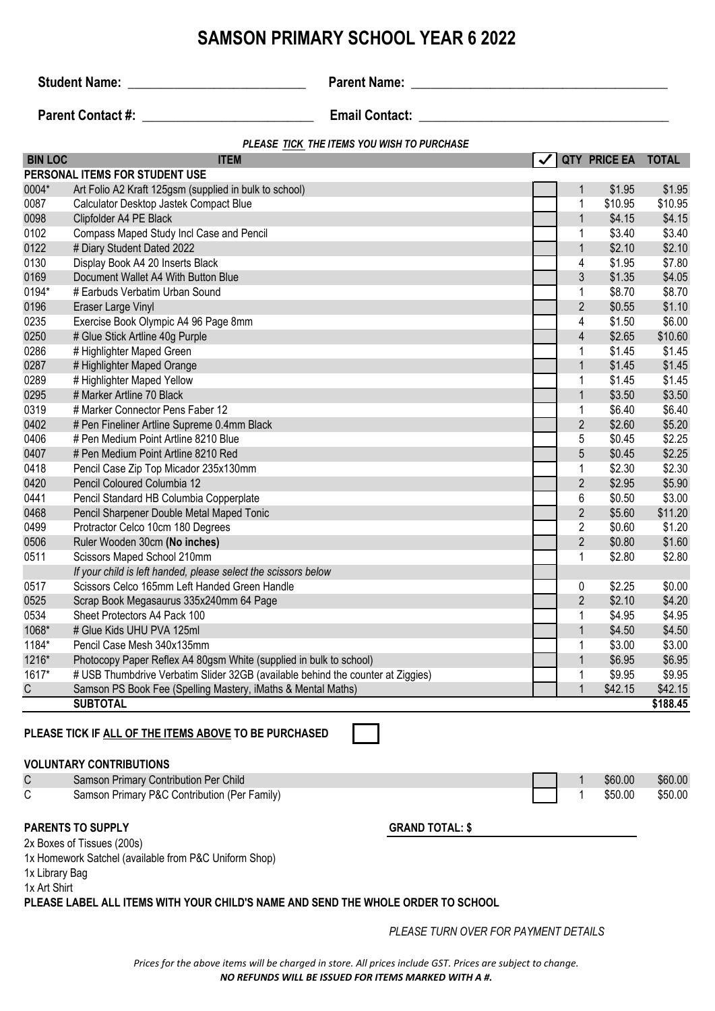## **SAMSON PRIMARY SCHOOL YEAR 6 2022 BIN LOC ITEM QTY PRICE EA TOTAL** 0004\* Art Folio A2 Kraft 125gsm (supplied in bulk to school) 1 \$1.95 \$1.95 0087 Calculator Desktop Jastek Compact Blue 1  $\sim$  1 \$10.95 \$10.95 \$10.95 0098 Clipfolder A4 PE Black 1 \$4.15 \$4.15 \$4.15 \$4.15 \$4.15 \$4.15 \$4.15 \$4.15 \$4.15 \$4.15 \$4.15 \$4.15 \$4.15 \$4 0102 Compass Maped Study Incl Case and Pencil **1 63.40** \$3.40 \$3.40 0122 # Diary Student Dated 2022  $\sqrt{2}$ 0130 Display Book A4 20 Inserts Black 4 \$1.95 \$7.80 0169 Document Wallet A4 With Button Blue 3 \$1.35 \$4.05 \$4.05 \$4.05 \$4.05 \$4.05 \$4.05 \$4.05 \$4.05 \$4.05 \$54.05 \$54.05 \$54.05 \$54.05 \$54.05 \$54.05 \$54.05 \$54.05 \$554.05 \$554.05 \$554.05 \$554.05 \$554.05 \$554.05 \$555 \$555 \$555 0194\* # Earbuds Verbatim Urban Sound 1 \$8.70 \$8.70 \$8.70 \$8.70 \$8.70 \$8.70 \$8.70 \$8.70 \$8.70 \$8.70 \$8.70 \$8.70 0196 Eraser Large Vinyl 2 2 \$0.55 \$1.10 0235 Exercise Book Olympic A4 96 Page 8mm 4 \$1.50 \$6.00<br>0250 # Glue Stick Artline 40a Purple 4 \$1.50 \$10.60 **PERSONAL ITEMS FOR STUDENT USE** *PLEASE TICK THE ITEMS YOU WISH TO PURCHASE* **Student Name:** \_\_\_\_\_\_\_\_\_\_\_\_\_\_\_\_\_\_\_\_\_\_\_\_\_\_\_ **Parent Name: \_\_\_\_\_\_\_\_\_\_\_\_\_\_\_\_\_\_\_\_\_\_\_\_\_\_\_\_\_\_\_\_\_\_\_\_\_\_\_ Parent Contact #:**  $\qquad \qquad$  **Email Contact:**  $\qquad \qquad$

# Glue Stick Artline 40g Purple 4  $\frac{1}{2}$  52.65 \$10.60

|       | <b>SUBTOTAL</b>                                                                 |                |         | \$188.45 |
|-------|---------------------------------------------------------------------------------|----------------|---------|----------|
| C     | Samson PS Book Fee (Spelling Mastery, iMaths & Mental Maths)                    | 1              | \$42.15 | \$42.15  |
| 1617* | # USB Thumbdrive Verbatim Slider 32GB (available behind the counter at Ziggies) |                | \$9.95  | \$9.95   |
| 1216* | Photocopy Paper Reflex A4 80gsm White (supplied in bulk to school)              | $\mathbf 1$    | \$6.95  | \$6.95   |
| 1184* | Pencil Case Mesh 340x135mm                                                      |                | \$3.00  | \$3.00   |
| 1068* | # Glue Kids UHU PVA 125ml                                                       | 1              | \$4.50  | \$4.50   |
| 0534  | Sheet Protectors A4 Pack 100                                                    |                | \$4.95  | \$4.95   |
| 0525  | Scrap Book Megasaurus 335x240mm 64 Page                                         | $\overline{2}$ | \$2.10  | \$4.20   |
| 0517  | Scissors Celco 165mm Left Handed Green Handle                                   | 0              | \$2.25  | \$0.00   |
|       | If your child is left handed, please select the scissors below                  |                |         |          |
| 0511  | Scissors Maped School 210mm                                                     |                | \$2.80  | \$2.80   |
| 0506  | Ruler Wooden 30cm (No inches)                                                   | $\overline{2}$ | \$0.80  | \$1.60   |
| 0499  | Protractor Celco 10cm 180 Degrees                                               | $\overline{2}$ | \$0.60  | \$1.20   |
| 0468  | Pencil Sharpener Double Metal Maped Tonic                                       | $\overline{2}$ | \$5.60  | \$11.20  |
| 0441  | Pencil Standard HB Columbia Copperplate                                         | 6              | \$0.50  | \$3.00   |
| 0420  | Pencil Coloured Columbia 12                                                     | $\overline{2}$ | \$2.95  | \$5.90   |
| 0418  | Pencil Case Zip Top Micador 235x130mm                                           |                | \$2.30  | \$2.30   |
| 0407  | # Pen Medium Point Artline 8210 Red                                             | 5              | \$0.45  | \$2.25   |
| 0406  | # Pen Medium Point Artline 8210 Blue                                            | 5              | \$0.45  | \$2.25   |
| 0402  | # Pen Fineliner Artline Supreme 0.4mm Black                                     | 2              | \$2.60  | \$5.20   |
| 0319  | # Marker Connector Pens Faber 12                                                |                | \$6.40  | \$6.40   |
| 0295  | # Marker Artline 70 Black                                                       | 1              | \$3.50  | \$3.50   |
| 0289  | # Highlighter Maped Yellow                                                      |                | \$1.45  | \$1.45   |
| 0287  | # Highlighter Maped Orange                                                      | 1              | \$1.45  | \$1.45   |
| 0286  | # Highlighter Maped Green                                                       | 1              | \$1.45  | \$1.45   |

### **PLEASE TICK IF ALL OF THE ITEMS ABOVE TO BE PURCHASED**

#### **VOLUNTARY CONTRIBUTIONS**

| C | Samson Primary Contribution Per Child             |  | \$60.00 | \$60.00 |
|---|---------------------------------------------------|--|---------|---------|
| ⌒ | Samson Primary P&C<br>: Contribution (Per Family) |  | \$50.00 | \$50.00 |

#### **PARENTS TO SUPPLY GRAND TOTAL: \$**

2x Boxes of Tissues (200s)

1x Homework Satchel (available from P&C Uniform Shop)

1x Library Bag

1x Art Shirt

**PLEASE LABEL ALL ITEMS WITH YOUR CHILD'S NAME AND SEND THE WHOLE ORDER TO SCHOOL**

*PLEASE TURN OVER FOR PAYMENT DETAILS*